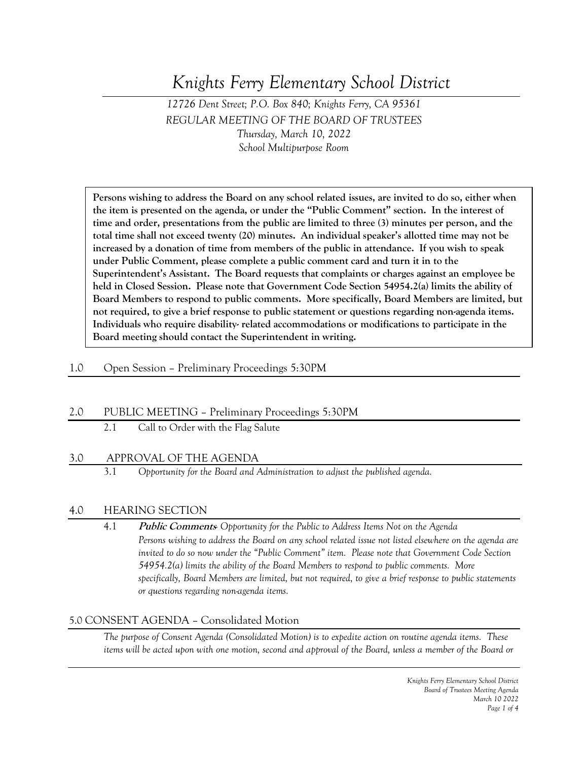# *Knights Ferry Elementary School District*

## *12726 Dent Street; P.O. Box 840; Knights Ferry, CA 95361 REGULAR MEETING OF THE BOARD OF TRUSTEES Thursday, March 10, 2022 School Multipurpose Room*

**Persons wishing to address the Board on any school related issues, are invited to do so, either when the item is presented on the agenda, or under the "Public Comment" section. In the interest of time and order, presentations from the public are limited to three (3) minutes per person, and the total time shall not exceed twenty (20) minutes. An individual speaker's allotted time may not be increased by a donation of time from members of the public in attendance. If you wish to speak under Public Comment, please complete a public comment card and turn it in to the Superintendent's Assistant. The Board requests that complaints or charges against an employee be held in Closed Session. Please note that Government Code Section 54954.2(a) limits the ability of Board Members to respond to public comments. More specifically, Board Members are limited, but not required, to give a brief response to public statement or questions regarding non-agenda items. Individuals who require disability- related accommodations or modifications to participate in the Board meeting should contact the Superintendent in writing.**

#### 1.0 Open Session – Preliminary Proceedings 5:30PM

#### 2.0 PUBLIC MEETING – Preliminary Proceedings 5:30PM

2.1 Call to Order with the Flag Salute

#### 3.0 APPROVAL OF THE AGENDA

3.1 *Opportunity for the Board and Administration to adjust the published agenda.*

#### 4.0 HEARING SECTION

4.1 **Public Comments***- Opportunity for the Public to Address Items Not on the Agenda Persons wishing to address the Board on any school related issue not listed elsewhere on the agenda are invited to do so now under the "Public Comment" item. Please note that Government Code Section 54954.2(a) limits the ability of the Board Members to respond to public comments. More specifically, Board Members are limited, but not required, to give a brief response to public statements or questions regarding non-agenda items.*

#### 5.0 CONSENT AGENDA – Consolidated Motion

*The purpose of Consent Agenda (Consolidated Motion) is to expedite action on routine agenda items. These items will be acted upon with one motion, second and approval of the Board, unless a member of the Board or*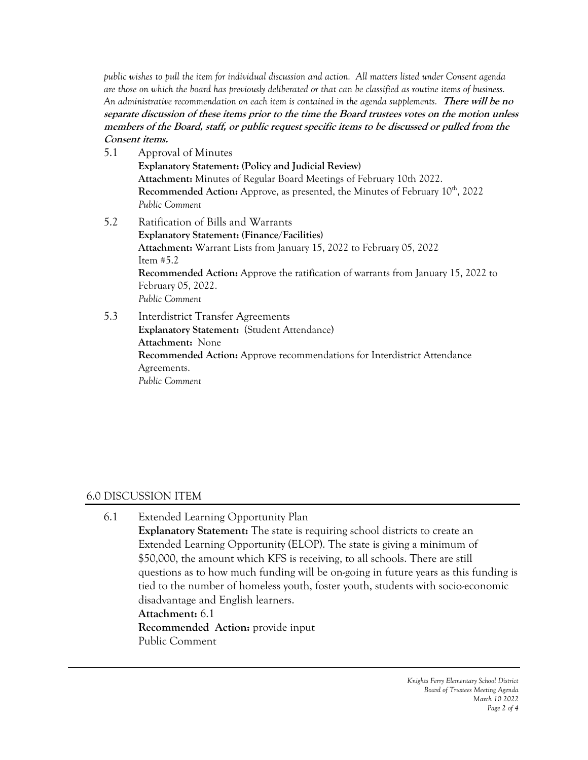*public wishes to pull the item for individual discussion and action. All matters listed under Consent agenda are those on which the board has previously deliberated or that can be classified as routine items of business. An administrative recommendation on each item is contained in the agenda supplements.* **There will be no separate discussion of these items prior to the time the Board trustees votes on the motion unless members of the Board, staff, or public request specific items to be discussed or pulled from the Consent items.**

5.1 Approval of Minutes **Explanatory Statement: (Policy and Judicial Review) Attachment:** Minutes of Regular Board Meetings of February 10th 2022. **Recommended Action:** Approve, as presented, the Minutes of February 10<sup>th</sup>, 2022 *Public Comment* 5.2 Ratification of Bills and Warrants **Explanatory Statement: (Finance/Facilities) Attachment:** Warrant Lists from January 15, 2022 to February 05, 2022 Item #5.2

**Recommended Action:** Approve the ratification of warrants from January 15, 2022 to February 05, 2022. *Public Comment*

5.3 Interdistrict Transfer Agreements **Explanatory Statement:** (Student Attendance) **Attachment:** None **Recommended Action:** Approve recommendations for Interdistrict Attendance Agreements. *Public Comment*

## 6.0 DISCUSSION ITEM

6.1 Extended Learning Opportunity Plan **Explanatory Statement:** The state is requiring school districts to create an Extended Learning Opportunity (ELOP). The state is giving a minimum of \$50,000, the amount which KFS is receiving, to all schools. There are still questions as to how much funding will be on-going in future years as this funding is tied to the number of homeless youth, foster youth, students with socio-economic disadvantage and English learners. **Attachment:** 6.1 **Recommended Action:** provide input Public Comment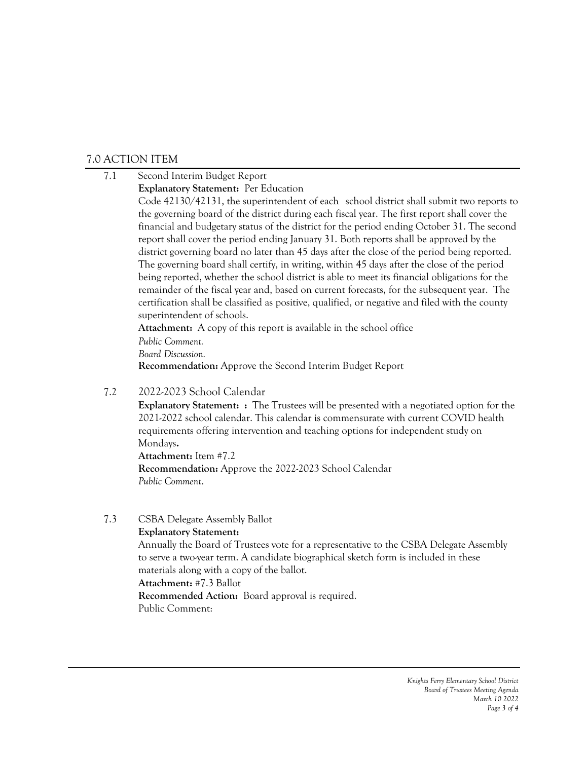## 7.0 ACTION ITEM

- 7.1 Second Interim Budget Report
	- **Explanatory Statement:** Per Education

Code 42130/42131, the superintendent of each school district shall submit two reports to the governing board of the district during each fiscal year. The first report shall cover the financial and budgetary status of the district for the period ending October 31. The second report shall cover the period ending January 31. Both reports shall be approved by the district governing board no later than 45 days after the close of the period being reported. The governing board shall certify, in writing, within 45 days after the close of the period being reported, whether the school district is able to meet its financial obligations for the remainder of the fiscal year and, based on current forecasts, for the subsequent year. The certification shall be classified as positive, qualified, or negative and filed with the county superintendent of schools.

**Attachment:** A copy of this report is available in the school office

*Public Comment.*

*Board Discussion.*

**Recommendation:** Approve the Second Interim Budget Report

### 7.2 2022-2023 School Calendar

**Explanatory Statement:** : The Trustees will be presented with a negotiated option for the 2021-2022 school calendar. This calendar is commensurate with current COVID health requirements offering intervention and teaching options for independent study on Mondays**.**

**Attachment:** Item #7.2 **Recommendation:** Approve the 2022-2023 School Calendar *Public Comment*.

7.3 CSBA Delegate Assembly Ballot

**Explanatory Statement:**

Annually the Board of Trustees vote for a representative to the CSBA Delegate Assembly to serve a two-year term. A candidate biographical sketch form is included in these materials along with a copy of the ballot. **Attachment:** #7.3 Ballot

**Recommended Action:** Board approval is required. Public Comment: